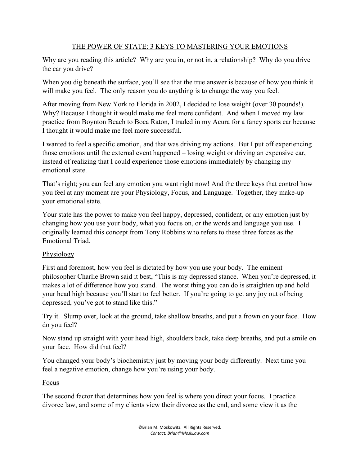## THE POWER OF STATE: 3 KEYS TO MASTERING YOUR EMOTIONS

Why are you reading this article? Why are you in, or not in, a relationship? Why do you drive the car you drive?

When you dig beneath the surface, you'll see that the true answer is because of how you think it will make you feel. The only reason you do anything is to change the way you feel.

After moving from New York to Florida in 2002, I decided to lose weight (over 30 pounds!). Why? Because I thought it would make me feel more confident. And when I moved my law practice from Boynton Beach to Boca Raton, I traded in my Acura for a fancy sports car because I thought it would make me feel more successful.

I wanted to feel a specific emotion, and that was driving my actions. But I put off experiencing those emotions until the external event happened – losing weight or driving an expensive car, instead of realizing that I could experience those emotions immediately by changing my emotional state.

That's right; you can feel any emotion you want right now! And the three keys that control how you feel at any moment are your Physiology, Focus, and Language. Together, they make-up your emotional state.

Your state has the power to make you feel happy, depressed, confident, or any emotion just by changing how you use your body, what you focus on, or the words and language you use. I originally learned this concept from Tony Robbins who refers to these three forces as the Emotional Triad.

## Physiology

First and foremost, how you feel is dictated by how you use your body. The eminent philosopher Charlie Brown said it best, "This is my depressed stance. When you're depressed, it makes a lot of difference how you stand. The worst thing you can do is straighten up and hold your head high because you'll start to feel better. If you're going to get any joy out of being depressed, you've got to stand like this."

Try it. Slump over, look at the ground, take shallow breaths, and put a frown on your face. How do you feel?

Now stand up straight with your head high, shoulders back, take deep breaths, and put a smile on your face. How did that feel?

You changed your body's biochemistry just by moving your body differently. Next time you feel a negative emotion, change how you're using your body.

Focus

The second factor that determines how you feel is where you direct your focus. I practice divorce law, and some of my clients view their divorce as the end, and some view it as the